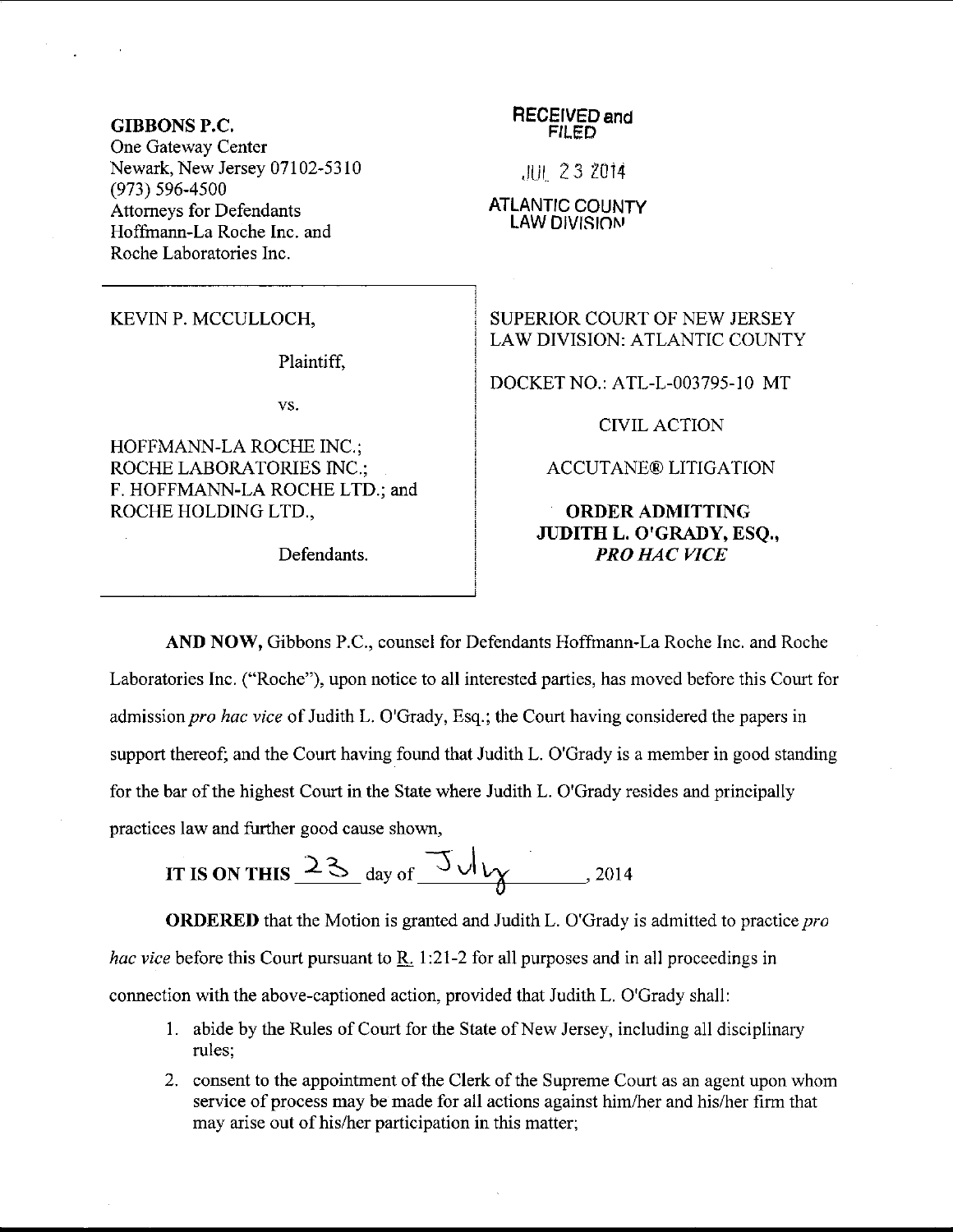### GIBBONS P.C,

One Gateway Center Newark, New Jersey 07102-5310 (973) s96-4500 Attomeys for Defendants Hoffrnann-La Roche Inc. and Roche Laboratories Inc.

### KEVINP. MCCULLOCH,

Plaintiff,

vs.

HOFFMANN-LA ROCHE INC.; ROCHE LABORATORIES INC,; F. HOFFMANN-LA ROCHE LTD.; and ROCHE HOLDING LTD.,

#### RECEIVED and FILED

JUI 23 2014

ATLANTIC COUNTY LAW DIVISIONI

# SUPERIOR COURT OF NEW JERSEY LAW DIVISION: ATLANTIC COUNTY

DOCKET NO.: ATL-L-003795-10 MT

CIVILACTION

ACCUTANE@ LITIGATION

## ORDER ADMITTING JUDITH L. O'GRADY, ESQ., Defendants. PRO HAC VICE

AND NOW, Gibbons P.C., counsel for Defendants Hoffmann-La Roche Inc. and Roche Laboratories Inc. ("Roche"), upon notice to all interested parties, has moved before this Courl for admission pro hac vice of Judith L. O'Grady, Esq.; the Court having considered the papers in support thereof; and the Court having found that Judith L. O'Grady is a member in good standing for the bar of the highest Court in the State where Judith L. O'Grady resides and principally practices law and further good cause shown,

IT IS ON THIS 
$$
23
$$
 day of  $34$ 

ORDERED that the Motion is granted and Judith L. O'Grady is admitted to practice pro *hac vice* before this Court pursuant to R. 1:21-2 for all purposes and in all proceedings in connection with the above-captioned action, provided that Judith L. O'Grady shall:

- <sup>1</sup>. abide by the Rules of Court for the State of New Jersey, including all disciplinary rules:
- 2. consent to the appointment of the Clerk of the Supreme Court as an agent upon whom service of process may be made for all actions against him/her and his/her firm that may arise out of his/her participation in this matter;